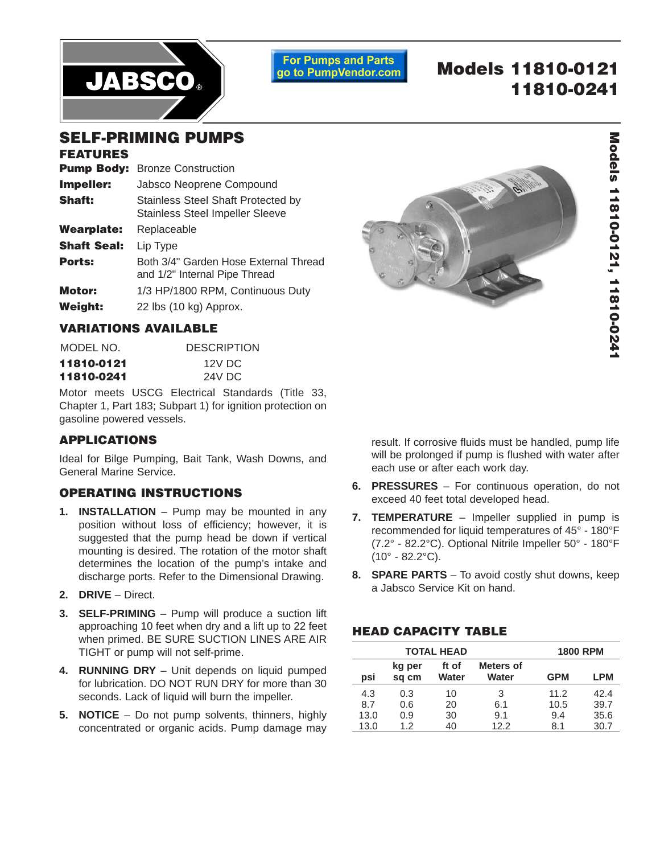

**For Pumps and Parts** go to PumpVendor.com

# **Models 11810-0121 11810-0241**

# **SELF-PRIMING PUMPS**

### **FEATURES**

| <b>Pump Body: Bronze Construction</b>                                        |
|------------------------------------------------------------------------------|
| Jabsco Neoprene Compound                                                     |
| Stainless Steel Shaft Protected by<br><b>Stainless Steel Impeller Sleeve</b> |
| Replaceable                                                                  |
| Lip Type                                                                     |
| Both 3/4" Garden Hose External Thread<br>and 1/2" Internal Pipe Thread       |
| 1/3 HP/1800 RPM, Continuous Duty                                             |
| 22 lbs (10 kg) Approx.                                                       |
|                                                                              |

## **VARIATIONS AVAILABLE**

| MODEL NO.  | <b>DESCRIPTION</b> |
|------------|--------------------|
| 11810-0121 | 12V DC             |
| 11810-0241 | 24V DC             |

Motor meets USCG Electrical Standards (Title 33, Chapter 1, Part 183; Subpart 1) for ignition protection on gasoline powered vessels.

## **APPLICATIONS**

Ideal for Bilge Pumping, Bait Tank, Wash Downs, and General Marine Service.

## **OPERATING INSTRUCTIONS**

- **1. INSTALLATION** Pump may be mounted in any position without loss of efficiency; however, it is suggested that the pump head be down if vertical mounting is desired. The rotation of the motor shaft determines the location of the pump's intake and discharge ports. Refer to the Dimensional Drawing.
- **2. DRIVE** Direct.
- **3. SELF-PRIMING** Pump will produce a suction lift approaching 10 feet when dry and a lift up to 22 feet when primed. BE SURE SUCTION LINES ARE AIR TIGHT or pump will not self-prime.
- **4. RUNNING DRY** Unit depends on liquid pumped for lubrication. DO NOT RUN DRY for more than 30 seconds. Lack of liquid will burn the impeller.
- **5. NOTICE** Do not pump solvents, thinners, highly concentrated or organic acids. Pump damage may



result. If corrosive fluids must be handled, pump life will be prolonged if pump is flushed with water after each use or after each work day.

- **6. PRESSURES** For continuous operation, do not exceed 40 feet total developed head.
- **7. TEMPERATURE** Impeller supplied in pump is recommended for liquid temperatures of 45° - 180°F (7.2° - 82.2°C). Optional Nitrile Impeller 50° - 180°F  $(10^{\circ} - 82.2^{\circ}C)$ .
- **8. SPARE PARTS** To avoid costly shut downs, keep a Jabsco Service Kit on hand.

## **HEAD CAPACITY TABLE**

| <b>TOTAL HEAD</b> |                 |                |                           | <b>1800 RPM</b> |      |
|-------------------|-----------------|----------------|---------------------------|-----------------|------|
| psi               | kg per<br>sq cm | ft of<br>Water | <b>Meters of</b><br>Water | <b>GPM</b>      | LPM  |
| 4.3               | 0.3             | 10             | 3                         | 11.2            | 42.4 |
| 8.7               | 0.6             | 20             | 6.1                       | 10.5            | 39.7 |
| 13.0              | 0.9             | 30             | 9.1                       | 9.4             | 35.6 |
| 13.0              | 1.2             | 40             | 12.2                      | 8.1             | 30.7 |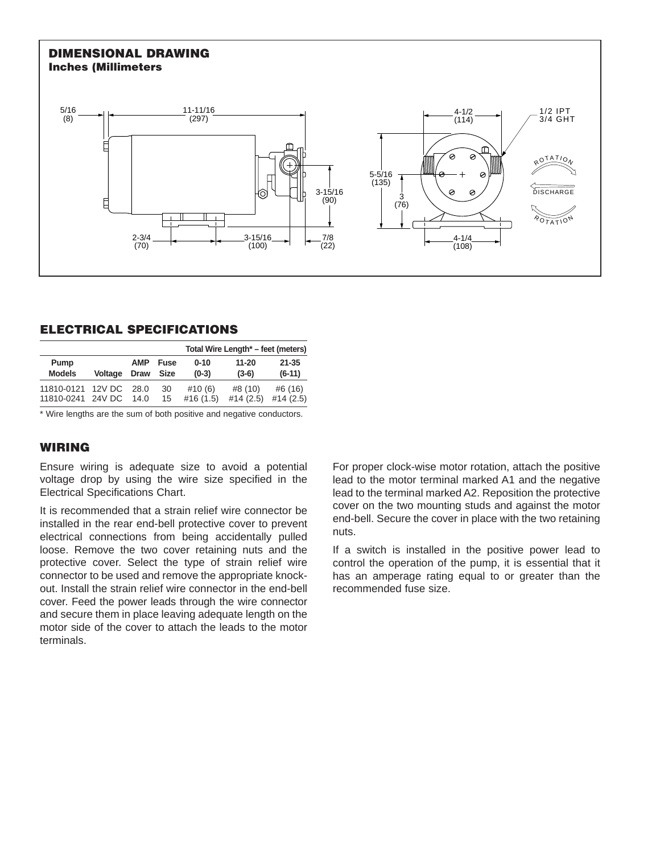### **DIMENSIONAL DRAWING Inches (Millimeters**



## **ELECTRICAL SPECIFICATIONS**

|                   |                |             |             |          | Total Wire Length* – feet (meters) |           |
|-------------------|----------------|-------------|-------------|----------|------------------------------------|-----------|
| Pump              |                | <b>AMP</b>  | Fuse        | $0 - 10$ | $11 - 20$                          | $21 - 35$ |
| <b>Models</b>     | <b>Voltage</b> | <b>Draw</b> | <b>Size</b> | $(0-3)$  | $(3-6)$                            | $(6-11)$  |
| 11810-0121 12V DC |                | 28.0        | 30          | #10(6)   | #8 (10)                            | #6 (16)   |
| 11810-0241 24V DC |                | 14.0        | 15          | #16(1.5) | #14(2.5)                           | #14(2.5)  |

\* Wire lengths are the sum of both positive and negative conductors.

## **WIRING**

Ensure wiring is adequate size to avoid a potential voltage drop by using the wire size specified in the Electrical Specifications Chart.

It is recommended that a strain relief wire connector be installed in the rear end-bell protective cover to prevent electrical connections from being accidentally pulled loose. Remove the two cover retaining nuts and the protective cover. Select the type of strain relief wire connector to be used and remove the appropriate knockout. Install the strain relief wire connector in the end-bell cover. Feed the power leads through the wire connector and secure them in place leaving adequate length on the motor side of the cover to attach the leads to the motor terminals.

For proper clock-wise motor rotation, attach the positive lead to the motor terminal marked A1 and the negative lead to the terminal marked A2. Reposition the protective cover on the two mounting studs and against the motor end-bell. Secure the cover in place with the two retaining nuts.

If a switch is installed in the positive power lead to control the operation of the pump, it is essential that it has an amperage rating equal to or greater than the recommended fuse size.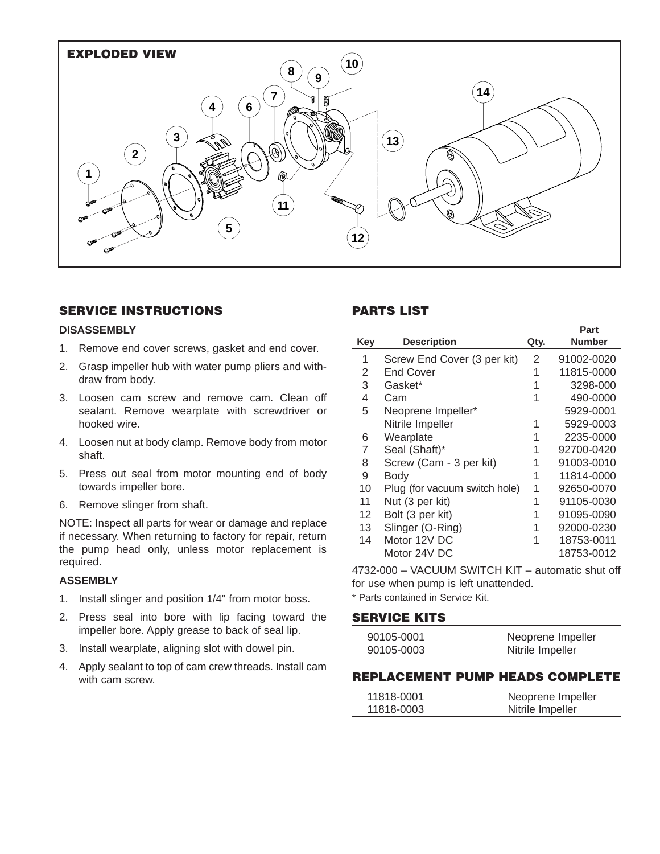

## **SERVICE INSTRUCTIONS**

#### **DISASSEMBLY**

- 1. Remove end cover screws, gasket and end cover.
- 2. Grasp impeller hub with water pump pliers and withdraw from body.
- 3. Loosen cam screw and remove cam. Clean off sealant. Remove wearplate with screwdriver or hooked wire.
- 4. Loosen nut at body clamp. Remove body from motor shaft.
- 5. Press out seal from motor mounting end of body towards impeller bore.
- 6. Remove slinger from shaft.

NOTE: Inspect all parts for wear or damage and replace if necessary. When returning to factory for repair, return the pump head only, unless motor replacement is required.

#### **ASSEMBLY**

- 1. Install slinger and position 1/4" from motor boss.
- 2. Press seal into bore with lip facing toward the impeller bore. Apply grease to back of seal lip.
- 3. Install wearplate, aligning slot with dowel pin.
- 4. Apply sealant to top of cam crew threads. Install cam with cam screw.

## **PARTS LIST**

|     |                               |      | Part          |
|-----|-------------------------------|------|---------------|
| Key | <b>Description</b>            | Qty. | <b>Number</b> |
| 1   | Screw End Cover (3 per kit)   | 2    | 91002-0020    |
| 2   | <b>End Cover</b>              | 1    | 11815-0000    |
| 3   | Gasket*                       |      | 3298-000      |
| 4   | Cam                           | 1    | 490-0000      |
| 5   | Neoprene Impeller*            |      | 5929-0001     |
|     | Nitrile Impeller              | 1    | 5929-0003     |
| 6   | Wearplate                     | 1    | 2235-0000     |
| 7   | Seal (Shaft)*                 | 1    | 92700-0420    |
| 8   | Screw (Cam - 3 per kit)       |      | 91003-0010    |
| 9   | <b>Body</b>                   |      | 11814-0000    |
| 10  | Plug (for vacuum switch hole) | 1    | 92650-0070    |
| 11  | Nut (3 per kit)               |      | 91105-0030    |
| 12  | Bolt (3 per kit)              | 1    | 91095-0090    |
| 13  | Slinger (O-Ring)              | 1    | 92000-0230    |
| 14  | Motor 12V DC                  |      | 18753-0011    |
|     | Motor 24V DC                  |      | 18753-0012    |

4732-000 – VACUUM SWITCH KIT – automatic shut off for use when pump is left unattended.

\* Parts contained in Service Kit.

#### **SERVICE KITS**

| 90105-0001 | Neoprene Impeller |
|------------|-------------------|
| 90105-0003 | Nitrile Impeller  |

#### **REPLACEMENT PUMP HEADS COMPLETE**

| 11818-0001 | Neoprene Impeller |
|------------|-------------------|
| 11818-0003 | Nitrile Impeller  |